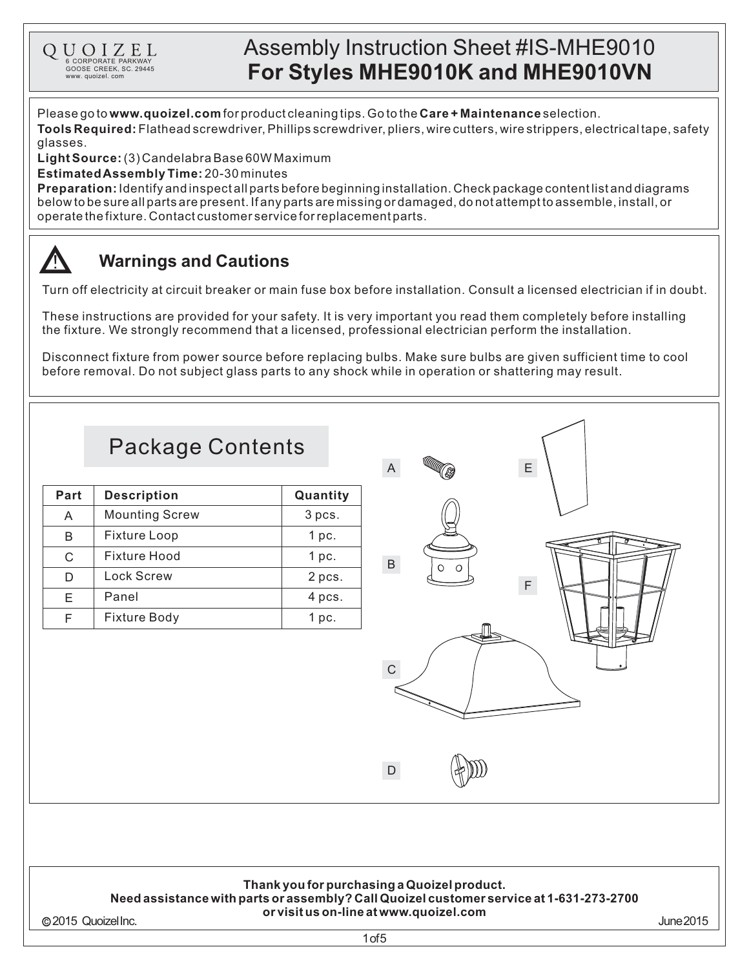# Assembly Instruction Sheet #IS-MHE9010 **For Styles MHE9010K and MHE9010VN**

Please go to **www.quoizel.com** for product cleaning tips. Go to the **Care + Maintenance** selection. **Tools Required:** Flathead screwdriver, Phillips screwdriver, pliers, wire cutters, wire strippers, electrical tape, safety glasses.

(3)CandelabraBase60WMaximum **LightSource:**

**Estimated Assembly Time:** 20-30 minutes

6 CORPORATE PARKWAY<br>GOOSE CREEK, SC. 29445 www. quoizel. com

QUOIZEL

**Preparation:** Identify and inspectall parts before beginning installation. Check package content list and diagrams belowtobesureallpartsarepresent.Ifanypartsaremissingordamaged,donotattempttoassemble,install,or operate the fixture. Contact customer service for replacement parts.

#### **Warnings and Cautions**

Turn off electricity at circuit breaker or main fuse box before installation. Consult a licensed electrician if in doubt.

These instructions are provided for your safety. It is very important you read them completely before installing the fixture. We strongly recommend that a licensed, professional electrician perform the installation.

Disconnect fixture from power source before replacing bulbs. Make sure bulbs are given sufficient time to cool before removal. Do not subject glass parts to any shock while in operation or shattering may result.

# Package Contents

| Part | <b>Description</b>    | Quantity |
|------|-----------------------|----------|
| A    | <b>Mounting Screw</b> | 3 pcs.   |
| В    | <b>Fixture Loop</b>   | $1$ pc.  |
| C    | Fixture Hood          | $1$ pc.  |
|      | <b>Lock Screw</b>     | 2 pcs.   |
| F    | Panel                 | 4 pcs.   |
|      | <b>Fixture Body</b>   | 1 pc.    |



### **Thank youfor purchasinga Quoizelproduct.**

#### **Needassistance withparts or assembly?CallQuoizelcustomer service at 1-631-273-2700 or visit us on-line at www.quoizel.com** 2015 QuoizelInc. June2015

1of5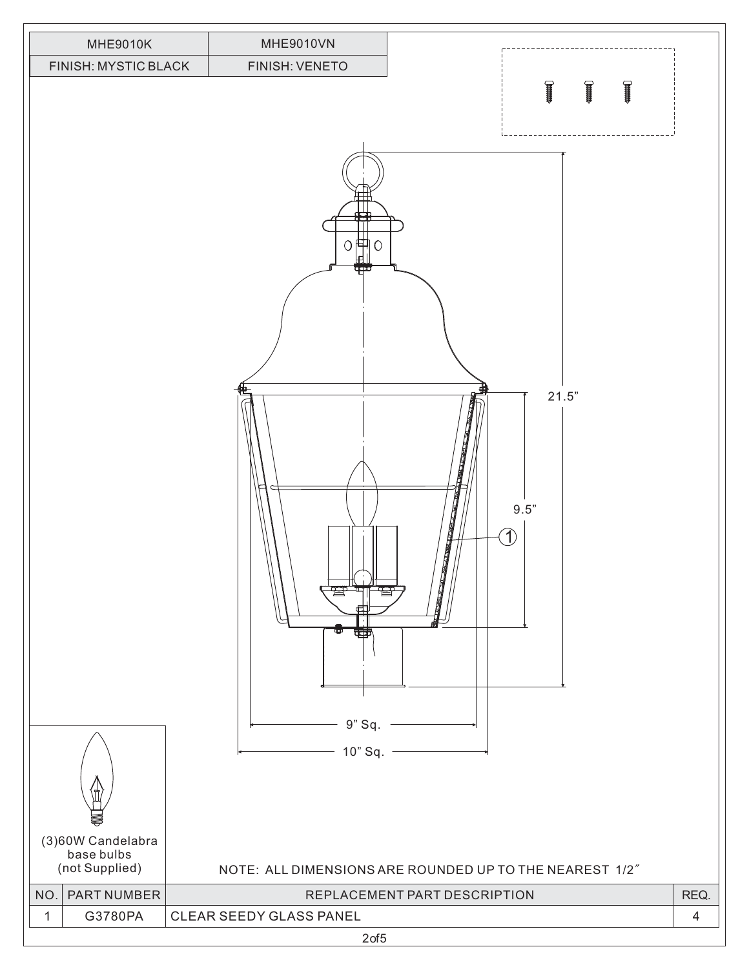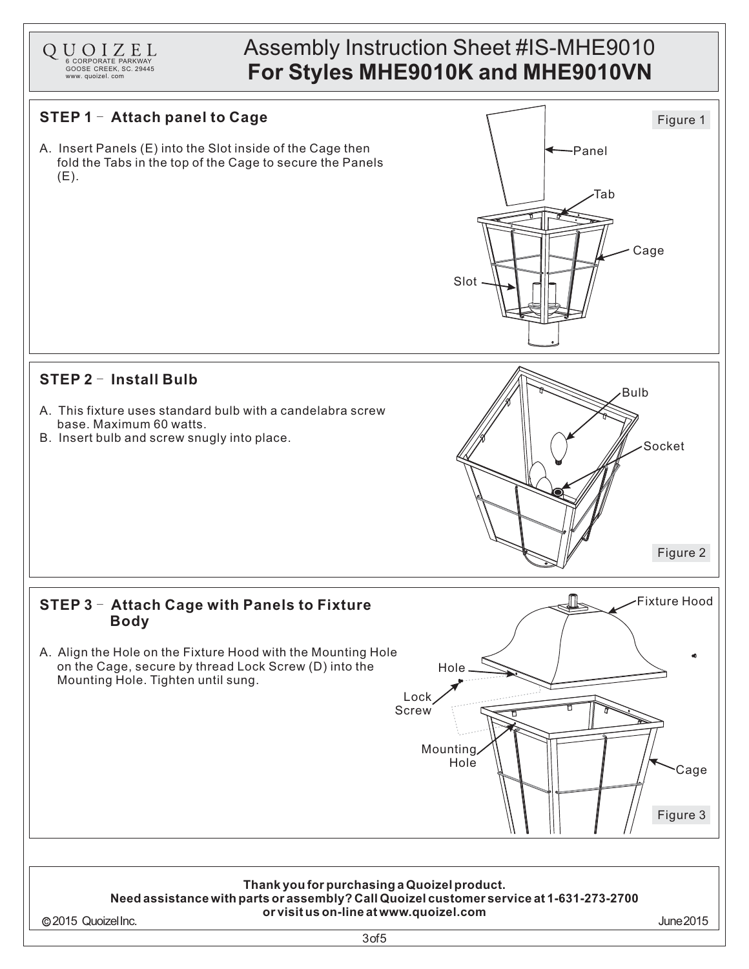## Assembly Instruction Sheet #IS-MHE9010 **For Styles MHE9010K and MHE9010VN**



6 CORPORATE PARKWAY<br>GOOSE CREEK, SC. 29445 www. quoizel. com

QUOIZEL

3of5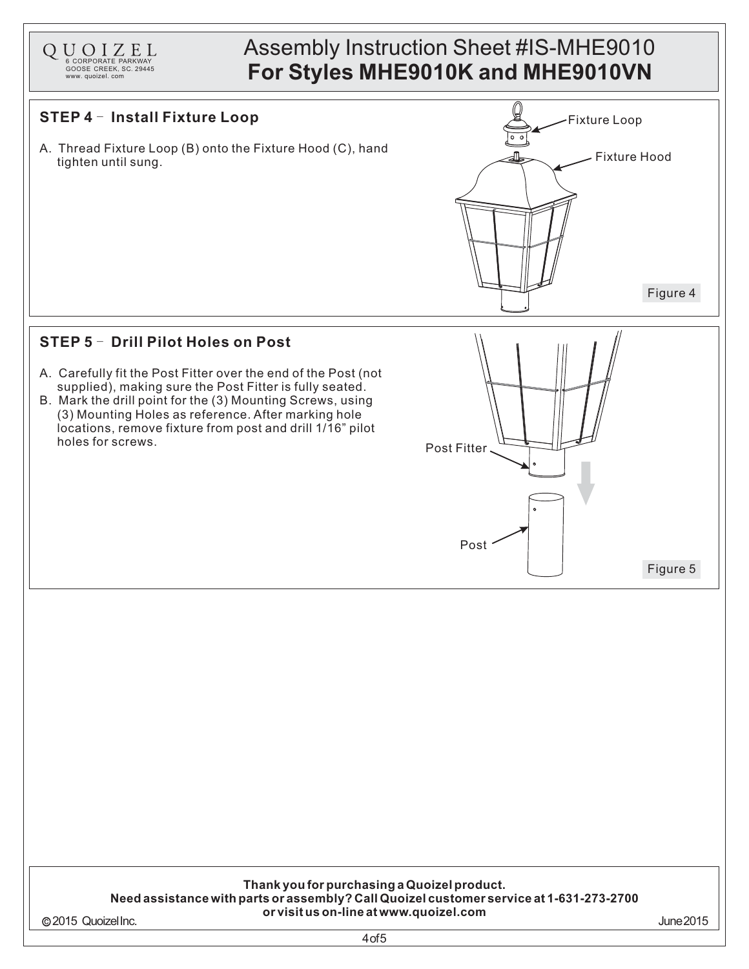### Assembly Instruction Sheet #IS-MHE9010 **For Styles MHE9010K and MHE9010VN**

#### **STEP 4** - **Install Fixture Loop External Properties Algebra 1000**

6 CORPORATE PARKWAY<br>GOOSE CREEK, SC. 29445 www. quoizel. com

QUOIZEL

A. Thread Fixture Loop (B) onto the Fixture Hood (C), hand tighten until sung. Fixture Hood



#### **STEP 5 - Drill Pilot Holes on Post**

- A. Carefully fit the Post Fitter over the end of the Post (not supplied), making sure the Post Fitter is fully seated.
- B. Mark the drill point for the (3) Mounting Screws, using (3) Mounting Holes as reference. After marking hole locations, remove fixture from post and drill 1/16" pilot holes for screws.



#### **Thank youfor purchasinga Quoizelproduct. Needassistance withparts or assembly?CallQuoizelcustomer service at 1-631-273-2700 or visit us on-line at www.quoizel.com** 2015 QuoizelInc. June2015